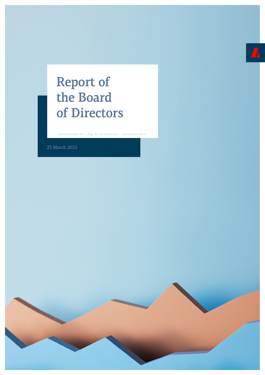## Report of the Board of Directors

LANDSBANKINN HF. | Reg. No. 471008 0280 | LANDSBANKINN.IS

23 March 2022

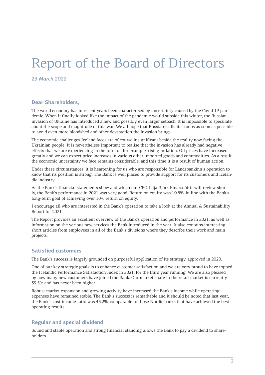# Report of the Board of Directors

*23 March 2022*

## **Dear Shareholders,**

The world economy has in recent years been characterised by uncertainty caused by the Covid 19 pandemic. When it finally looked like the impact of the pandemic would subside this winter, the Russian invasion of Ukraine has introduced a new and possibly even larger setback. It is impossible to speculate about the scope and magnitude of this war. We all hope that Russia recalls its troops as soon as possible to avoid even more bloodshed and other devastation the invasion brings.

The economic challenges Iceland faces are of course insignificant beside the reality now facing the Ukrainian people. It is nevertheless important to realise that the invasion has already had negative effects that we are experiencing in the form of, for example, rising inflation. Oil prices have increased greatly and we can expect price increases in various other imported goods and commodities. As a result, the economic uncertainty we face remains considerable, and this time it is a result of human action.

Under these circumstances, it is heartening for us who are responsible for Landsbankinn's operation to know that its position is strong. The Bank is well placed to provide support for its customers and Icelandic industry.

As the Bank's financial statements show and which our CEO Lilja Björk Einarsdóttir will review shortly, the Bank's performance in 2021 was very good. Return on equity was 10.8%, in line with the Bank's long-term goal of achieving over 10% return on equity.

I encourage all who are interested in the Bank's operation to take a look at the Annual & Sustainability Report for 2021.

The Report provides an excellent overview of the Bank's operation and performance in 2021, as well as information on the various new services the Bank introduced in the year. It also contains interesting short articles from employees in all of the Bank's divisions where they describe their work and main projects.

#### **Satisfied customers**

The Bank's success is largely grounded on purposeful application of its strategy, approved in 2020.

One of our key strategic goals is to enhance customer satisfaction and we are very proud to have topped the Icelandic Performance Satisfaction Index in 2021, for the third year running. We are also pleased by how many new customers have joined the Bank. Our market share in the retail market is currently 39.5% and has never been higher.

Robust market expansion and growing activity have increased the Bank's income while operating expenses have remained stable. The Bank's success is remarkable and it should be noted that last year, the Bank's cost-income ratio was 43.2%, comparable to those Nordic banks that have achieved the best operating results.

## **Regular and special dividend**

Sound and stable operation and strong financial standing allows the Bank to pay a dividend to shareholders.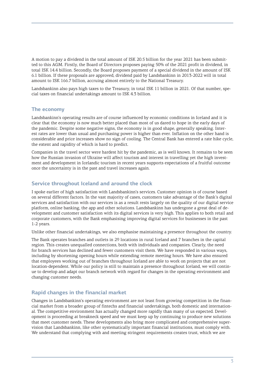A motion to pay a dividend in the total amount of ISK 20.5 billion for the year 2021 has been submitted to this AGM. Firstly, the Board of Directors proposes paying 50% of the 2021 profit in dividend, in total ISK 14.4 billion. Secondly, the Board proposes payment of a special dividend in the amount of ISK 6.1 billion. If these proposals are approved, dividend paid by Landsbankinn in 2013-2022 will in total amount to ISK 166.7 billion, accruing almost entirely to the National Treasury.

Landsbankinn also pays high taxes to the Treasury, in total ISK 11 billion in 2021. Of that number, special taxes on financial undertakings amount to ISK 4.3 billion.

## **The economy**

Landsbankinn's operating results are of course influenced by economic conditions in Iceland and it is clear that the economy is now much better placed than most of us dared to hope in the early days of the pandemic. Despite some negative signs, the economy is in good shape, generally speaking. Interest rates are lower than usual and purchasing power is higher than ever. Inflation on the other hand is considerable and price increases show no sign of cooling. The Central Bank has entered a rate hike cycle, the extent and rapidity of which is hard to predict.

Companies in the travel sector were hardest hit by the pandemic, as is well known. It remains to be seen how the Russian invasion of Ukraine will affect tourism and interest in travelling yet the high investment and development in Icelandic tourism in recent years supports expectations of a fruitful outcome once the uncertainty is in the past and travel increases again.

## **Service throughout Iceland and around the clock**

I spoke earlier of high satisfaction with Landsbankinn's services. Customer opinion is of course based on several different factors. In the vast majority of cases, customers take advantage of the Bank's digital services and satisfaction with our services is as a result rests largely on the quality of our digital service platform, online banking, the app and other solutions. Landsbankinn has undergone a great deal of development and customer satisfaction with its digital services is very high. This applies to both retail and corporate customers, with the Bank emphasising improving digital services for businesses in the past 1-2 years.

Unlike other financial undertakings, we also emphasise maintaining a presence throughout the country.

The Bank operates branches and outlets in 29 locations in rural Iceland and 7 branches in the capital region. This creates unequalled connections, both with individuals and companies. Clearly, the need for branch services has declined and fewer customers visit them. We have responded in various ways, including by shortening opening hours while extending remote meeting hours. We have also ensured that employees working out of branches throughout Iceland are able to work on projects that are not location-dependent. While our policy is still to maintain a presence throughout Iceland, we will continue to develop and adapt our branch network with regard for changes in the operating environment and changing customer needs.

#### **Rapid changes in the financial market**

Changes in Landsbankinn's operating environment are not least from growing competition in the financial market from a broader group of fintechs and financial undertakings, both domestic and international. The competitive environment has actually changed more rapidly than many of us expected. Development is proceeding at breakneck speed and we must keep up by continuing to produce new solutions that meet customer needs. These developments also bring more complicated and comprehensive supervision that Landsbankinn, like other systematically important financial institutions, must comply with. We understand that complying with and meeting stringent requirements creates trust, which we are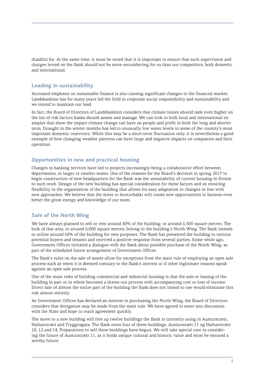thankful for. At the same time, it must be noted that it is important to ensure that such supervision and charges levied on the Bank should not be more encumbering for us than our competitors, both domestic and international.

#### **Leading in sustainability**

Increased emphasis on sustainable finance is also causing significant changes in the financial market. Landsbankinn has for many years led the field in corporate social responsibility and sustainability and we intend to maintain our lead.

In fact, the Board of Directors of Landsbankinn considers that climate issues should rank even higher on the list of risk factors banks should assess and manage. We can look to both local and international examples that show the impact climate change can have on people and profit in both the long and shorter term. Drought in the winter months has led to unusually low water levels in some of the country's most important domestic reservoirs. While this may be a short-term fluctuation only, it is nevertheless a good example of how changing weather patterns can have large and negative impacts on companies and their operation.

#### **Opportunities in new and practical housing**

Changes in banking services have led to projects increasingly being a collaborative effort between departments, in larger or smaller teams. One of the reasons for the Board's decision in spring 2017 to begin construction of new headquarters for the Bank was the unsuitability of current housing in Kvosin to such work. Design of the new building has special consideration for these factors and on ensuring flexibility in the organisation of the building that allows for easy adaptation to changes in line with new approaches. We believe that the move to Austurbakki will create new opportunities to harness even better the great energy and knowledge of our team.

#### **Sale of the North Wing**

We have always planned to sell or rent around 40% of the building, or around 6,500 square metres. The bulk of that area, or around 6,000 square metres, belong to the building's North Wing. The Bank intends to utilise around 60% of the building for own purposes. The Bank has presented the building to various potential buyers and tenants and received a positive response from several parties. Some while ago, Government Offices initiated a dialogue with the Bank about possible purchase of the North Wing, as part of the scheduled future arrangement of Government Offices.

The Bank's rules on the sale of assets allow for exceptions from the main rule of employing an open sale process such as when it is deemed contrary to the Bank's interest or if other legitimate reasons speak against an open sale process.

One of the main risks of building commercial and industrial housing is that the sale or leasing of the building in part or in whole becomes a drawn-out process with accompanying cost or loss of income. Direct sale of almost the entire part of the building the Bank does not intend to use would eliminate this risk almost entirely.

As Government Offices has declared an interest in purchasing the North Wing, the Board of Directors considers that derogation may be made from the main rule. We have agreed to enter into discussion with the State and hope to reach agreement quickly.

The move to a new building will free up twelve buildings the Bank is currently using in Austurstræti, Hafnarstræti and Tryggvagata. The Bank owns four of these buildings, Austurstræti 11 og Hafnarstræti 10, 12 and 14. Preparations to sell these buildings have begun. We will take special care in considering the future of Austurstræti 11, as it holds unique cultural and historic value and must be ensured a worthy future.